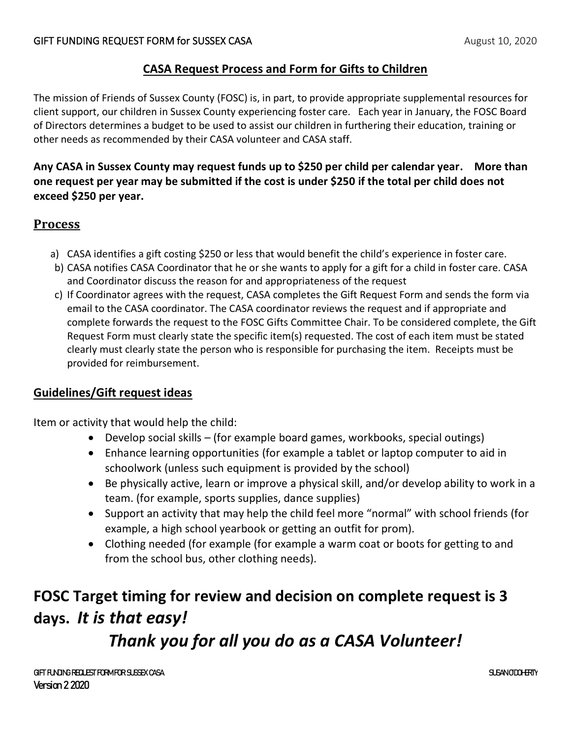## **CASA Request Process and Form for Gifts to Children**

The mission of Friends of Sussex County (FOSC) is, in part, to provide appropriate supplemental resources for client support, our children in Sussex County experiencing foster care. Each year in January, the FOSC Board of Directors determines a budget to be used to assist our children in furthering their education, training or other needs as recommended by their CASA volunteer and CASA staff.

## **Any CASA in Sussex County may request funds up to \$250 per child per calendar year. More than one request per year may be submitted if the cost is under \$250 if the total per child does not exceed \$250 per year.**

# **Process**

- a) CASA identifies a gift costing \$250 or less that would benefit the child's experience in foster care.
- b) CASA notifies CASA Coordinator that he or she wants to apply for a gift for a child in foster care. CASA and Coordinator discuss the reason for and appropriateness of the request
- c) If Coordinator agrees with the request, CASA completes the Gift Request Form and sends the form via email to the CASA coordinator. The CASA coordinator reviews the request and if appropriate and complete forwards the request to the FOSC Gifts Committee Chair. To be considered complete, the Gift Request Form must clearly state the specific item(s) requested. The cost of each item must be stated clearly must clearly state the person who is responsible for purchasing the item. Receipts must be provided for reimbursement.

#### **Guidelines/Gift request ideas**

Item or activity that would help the child:

- Develop social skills (for example board games, workbooks, special outings)
- Enhance learning opportunities (for example a tablet or laptop computer to aid in schoolwork (unless such equipment is provided by the school)
- Be physically active, learn or improve a physical skill, and/or develop ability to work in a team. (for example, sports supplies, dance supplies)
- Support an activity that may help the child feel more "normal" with school friends (for example, a high school yearbook or getting an outfit for prom).
- Clothing needed (for example (for example a warm coat or boots for getting to and from the school bus, other clothing needs).

# **FOSC Target timing for review and decision on complete request is 3 days.** *It is that easy! Thank you for all you do as a CASA Volunteer!*